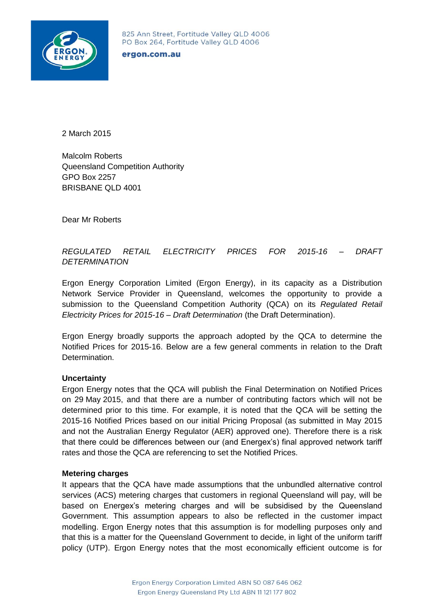

### ergon.com.au

2 March 2015

Malcolm Roberts Queensland Competition Authority GPO Box 2257 BRISBANE QLD 4001

Dear Mr Roberts

# *REGULATED RETAIL ELECTRICITY PRICES FOR 2015-16 – DRAFT DETERMINATION*

Ergon Energy Corporation Limited (Ergon Energy), in its capacity as a Distribution Network Service Provider in Queensland, welcomes the opportunity to provide a submission to the Queensland Competition Authority (QCA) on its *Regulated Retail Electricity Prices for 2015-16 – Draft Determination* (the Draft Determination).

Ergon Energy broadly supports the approach adopted by the QCA to determine the Notified Prices for 2015-16. Below are a few general comments in relation to the Draft Determination.

## **Uncertainty**

Ergon Energy notes that the QCA will publish the Final Determination on Notified Prices on 29 May 2015, and that there are a number of contributing factors which will not be determined prior to this time. For example, it is noted that the QCA will be setting the 2015-16 Notified Prices based on our initial Pricing Proposal (as submitted in May 2015 and not the Australian Energy Regulator (AER) approved one). Therefore there is a risk that there could be differences between our (and Energex's) final approved network tariff rates and those the QCA are referencing to set the Notified Prices.

### **Metering charges**

It appears that the QCA have made assumptions that the unbundled alternative control services (ACS) metering charges that customers in regional Queensland will pay, will be based on Energex's metering charges and will be subsidised by the Queensland Government. This assumption appears to also be reflected in the customer impact modelling. Ergon Energy notes that this assumption is for modelling purposes only and that this is a matter for the Queensland Government to decide, in light of the uniform tariff policy (UTP). Ergon Energy notes that the most economically efficient outcome is for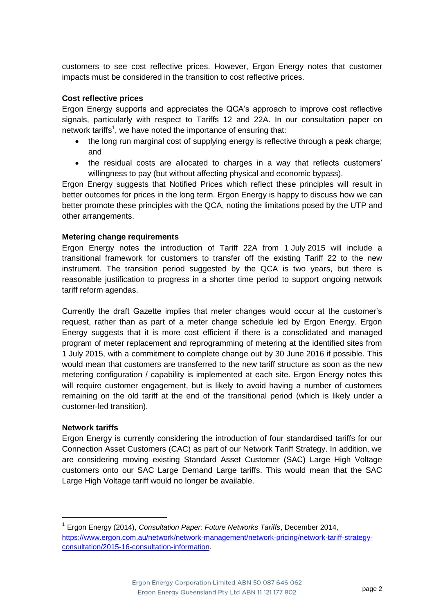customers to see cost reflective prices. However, Ergon Energy notes that customer impacts must be considered in the transition to cost reflective prices.

## **Cost reflective prices**

Ergon Energy supports and appreciates the QCA's approach to improve cost reflective signals, particularly with respect to Tariffs 12 and 22A. In our consultation paper on network tariffs<sup>1</sup>, we have noted the importance of ensuring that:

- the long run marginal cost of supplying energy is reflective through a peak charge; and
- the residual costs are allocated to charges in a way that reflects customers' willingness to pay (but without affecting physical and economic bypass).

Ergon Energy suggests that Notified Prices which reflect these principles will result in better outcomes for prices in the long term. Ergon Energy is happy to discuss how we can better promote these principles with the QCA, noting the limitations posed by the UTP and other arrangements.

## **Metering change requirements**

Ergon Energy notes the introduction of Tariff 22A from 1 July 2015 will include a transitional framework for customers to transfer off the existing Tariff 22 to the new instrument. The transition period suggested by the QCA is two years, but there is reasonable justification to progress in a shorter time period to support ongoing network tariff reform agendas.

Currently the draft Gazette implies that meter changes would occur at the customer's request, rather than as part of a meter change schedule led by Ergon Energy. Ergon Energy suggests that it is more cost efficient if there is a consolidated and managed program of meter replacement and reprogramming of metering at the identified sites from 1 July 2015, with a commitment to complete change out by 30 June 2016 if possible. This would mean that customers are transferred to the new tariff structure as soon as the new metering configuration / capability is implemented at each site. Ergon Energy notes this will require customer engagement, but is likely to avoid having a number of customers remaining on the old tariff at the end of the transitional period (which is likely under a customer-led transition).

## **Network tariffs**

1

Ergon Energy is currently considering the introduction of four standardised tariffs for our Connection Asset Customers (CAC) as part of our Network Tariff Strategy. In addition, we are considering moving existing Standard Asset Customer (SAC) Large High Voltage customers onto our SAC Large Demand Large tariffs. This would mean that the SAC Large High Voltage tariff would no longer be available.

<sup>1</sup> Ergon Energy (2014), *Consultation Paper: Future Networks Tariffs*, December 2014, [https://www.ergon.com.au/network/network-management/network-pricing/network-tariff-strategy](https://www.ergon.com.au/network/network-management/network-pricing/network-tariff-strategy-consultation/2015-16-consultation-information)[consultation/2015-16-consultation-information.](https://www.ergon.com.au/network/network-management/network-pricing/network-tariff-strategy-consultation/2015-16-consultation-information)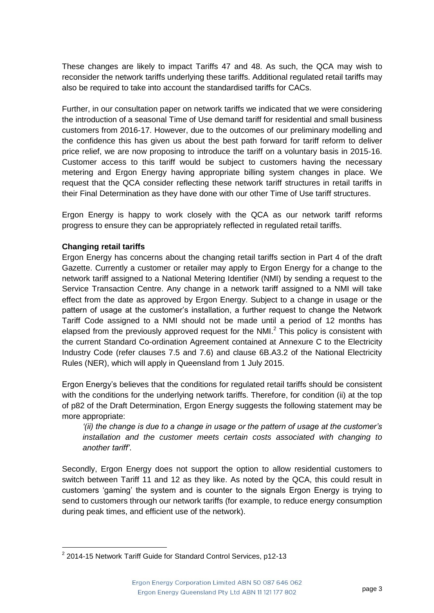These changes are likely to impact Tariffs 47 and 48. As such, the QCA may wish to reconsider the network tariffs underlying these tariffs. Additional regulated retail tariffs may also be required to take into account the standardised tariffs for CACs.

Further, in our consultation paper on network tariffs we indicated that we were considering the introduction of a seasonal Time of Use demand tariff for residential and small business customers from 2016-17. However, due to the outcomes of our preliminary modelling and the confidence this has given us about the best path forward for tariff reform to deliver price relief, we are now proposing to introduce the tariff on a voluntary basis in 2015-16. Customer access to this tariff would be subject to customers having the necessary metering and Ergon Energy having appropriate billing system changes in place. We request that the QCA consider reflecting these network tariff structures in retail tariffs in their Final Determination as they have done with our other Time of Use tariff structures.

Ergon Energy is happy to work closely with the QCA as our network tariff reforms progress to ensure they can be appropriately reflected in regulated retail tariffs.

# **Changing retail tariffs**

1

Ergon Energy has concerns about the changing retail tariffs section in Part 4 of the draft Gazette. Currently a customer or retailer may apply to Ergon Energy for a change to the network tariff assigned to a National Metering Identifier (NMI) by sending a request to the Service Transaction Centre. Any change in a network tariff assigned to a NMI will take effect from the date as approved by Ergon Energy. Subject to a change in usage or the pattern of usage at the customer's installation, a further request to change the Network Tariff Code assigned to a NMI should not be made until a period of 12 months has elapsed from the previously approved request for the NMI. $<sup>2</sup>$  This policy is consistent with</sup> the current Standard Co-ordination Agreement contained at Annexure C to the Electricity Industry Code (refer clauses 7.5 and 7.6) and clause 6B.A3.2 of the National Electricity Rules (NER), which will apply in Queensland from 1 July 2015.

Ergon Energy's believes that the conditions for regulated retail tariffs should be consistent with the conditions for the underlying network tariffs. Therefore, for condition (ii) at the top of p82 of the Draft Determination, Ergon Energy suggests the following statement may be more appropriate:

*'(ii) the change is due to a change in usage or the pattern of usage at the customer's installation and the customer meets certain costs associated with changing to another tariff'*.

Secondly, Ergon Energy does not support the option to allow residential customers to switch between Tariff 11 and 12 as they like. As noted by the QCA, this could result in customers 'gaming' the system and is counter to the signals Ergon Energy is trying to send to customers through our network tariffs (for example, to reduce energy consumption during peak times, and efficient use of the network).

<sup>&</sup>lt;sup>2</sup> 2014-15 Network Tariff Guide for Standard Control Services, p12-13